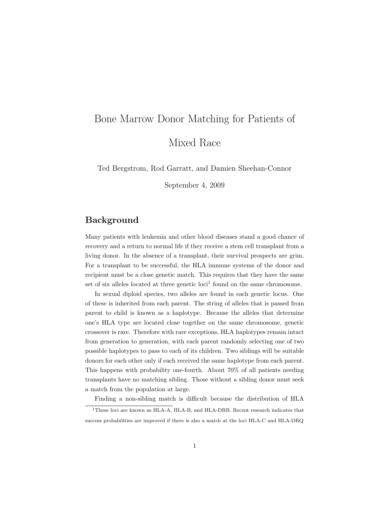# Bone Marrow Donor Matching for Patients of

Mixed Race

Ted Bergstrom, Rod Garratt, and Damien Sheehan-Connor

September 4, 2009

## Background

Many patients with leukemia and other blood diseases stand a good chance of recovery and a return to normal life if they receive a stem cell transplant from a living donor. In the absence of a transplant, their survival prospects are grim. For a transplant to be successful, the HLA immune systems of the donor and recipient must be a close genetic match. This requires that they have the same set of six alleles located at three genetic  $\text{loc}^1$  found on the same chromosome.

In sexual diploid species, two alleles are found in each genetic locus. One of these is inherited from each parent. The string of alleles that is passed from parent to child is known as a haplotype. Because the alleles that determine one's HLA type are located close together on the same chromosome, genetic crossover is rare. Therefore with rare exceptions, HLA haplotypes remain intact from generation to generation, with each parent randomly selecting one of two possible haplotypes to pass to each of its children. Two siblings will be suitable donors for each other only if each received the same haplotype from each parent. This happens with probability one-fourth. About 70% of all patients needing transplants have no matching sibling. Those without a sibling donor must seek a match from the population at large.

Finding a non-sibling match is difficult because the distribution of HLA

 $\overline{1}$ These loci are known as HLA-A, HLA-B, and HLA-DRB. Recent research indicates that success probabilities are improved if there is also a match at the loci HLA-C and HLA-DRQ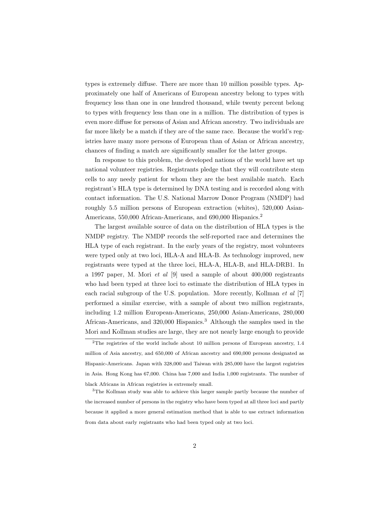types is extremely diffuse. There are more than 10 million possible types. Approximately one half of Americans of European ancestry belong to types with frequency less than one in one hundred thousand, while twenty percent belong to types with frequency less than one in a million. The distribution of types is even more diffuse for persons of Asian and African ancestry. Two individuals are far more likely be a match if they are of the same race. Because the world's registries have many more persons of European than of Asian or African ancestry, chances of finding a match are significantly smaller for the latter groups.

In response to this problem, the developed nations of the world have set up national volunteer registries. Registrants pledge that they will contribute stem cells to any needy patient for whom they are the best available match. Each registrant's HLA type is determined by DNA testing and is recorded along with contact information. The U.S. National Marrow Donor Program (NMDP) had roughly 5.5 million persons of European extraction (whites), 520,000 Asian-Americans, 550,000 African-Americans, and 690,000 Hispanics.<sup>2</sup>

The largest available source of data on the distribution of HLA types is the NMDP registry. The NMDP records the self-reported race and determines the HLA type of each registrant. In the early years of the registry, most volunteers were typed only at two loci, HLA-A and HLA-B. As technology improved, new registrants were typed at the three loci, HLA-A, HLA-B, and HLA-DRB1. In a 1997 paper, M. Mori et al [9] used a sample of about 400,000 registrants who had been typed at three loci to estimate the distribution of HLA types in each racial subgroup of the U.S. population. More recently, Kollman et al [7] performed a similar exercise, with a sample of about two million registrants, including 1.2 million European-Americans, 250,000 Asian-Americans, 280,000 African-Americans, and  $320,000$  Hispanics.<sup>3</sup> Although the samples used in the Mori and Kollman studies are large, they are not nearly large enough to provide

<sup>2</sup>The registries of the world include about 10 million persons of European ancestry, 1.4 million of Asia ancestry, and 650,000 of African ancestry and 690,000 persons designated as Hispanic-Americans. Japan with 328,000 and Taiwan with 285,000 have the largest registries in Asia. Hong Kong has 67,000. China has 7,000 and India 1,000 registrants. The number of black Africans in African registries is extremely small.

<sup>&</sup>lt;sup>3</sup>The Kollman study was able to achieve this larger sample partly because the number of the increased number of persons in the registry who have been typed at all three loci and partly because it applied a more general estimation method that is able to use extract information from data about early registrants who had been typed only at two loci.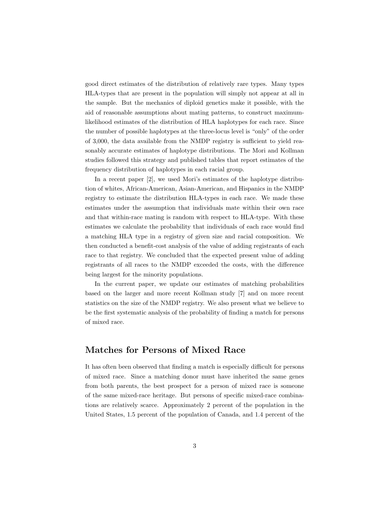good direct estimates of the distribution of relatively rare types. Many types HLA-types that are present in the population will simply not appear at all in the sample. But the mechanics of diploid genetics make it possible, with the aid of reasonable assumptions about mating patterns, to construct maximumlikelihood estimates of the distribution of HLA haplotypes for each race. Since the number of possible haplotypes at the three-locus level is "only" of the order of 3,000, the data available from the NMDP registry is sufficient to yield reasonably accurate estimates of haplotype distributions. The Mori and Kollman studies followed this strategy and published tables that report estimates of the frequency distribution of haplotypes in each racial group.

In a recent paper [2], we used Mori's estimates of the haplotype distribution of whites, African-American, Asian-American, and Hispanics in the NMDP registry to estimate the distribution HLA-types in each race. We made these estimates under the assumption that individuals mate within their own race and that within-race mating is random with respect to HLA-type. With these estimates we calculate the probability that individuals of each race would find a matching HLA type in a registry of given size and racial composition. We then conducted a benefit-cost analysis of the value of adding registrants of each race to that registry. We concluded that the expected present value of adding registrants of all races to the NMDP exceeded the costs, with the difference being largest for the minority populations.

In the current paper, we update our estimates of matching probabilities based on the larger and more recent Kollman study [7] and on more recent statistics on the size of the NMDP registry. We also present what we believe to be the first systematic analysis of the probability of finding a match for persons of mixed race.

## Matches for Persons of Mixed Race

It has often been observed that finding a match is especially difficult for persons of mixed race. Since a matching donor must have inherited the same genes from both parents, the best prospect for a person of mixed race is someone of the same mixed-race heritage. But persons of specific mixed-race combinations are relatively scarce. Approximately 2 percent of the population in the United States, 1.5 percent of the population of Canada, and 1.4 percent of the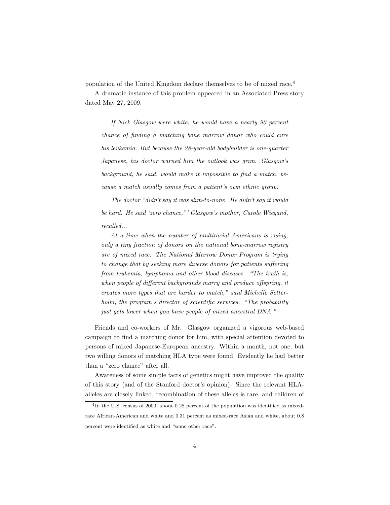population of the United Kingdom declare themselves to be of mixed race.<sup>4</sup>

A dramatic instance of this problem appeared in an Associated Press story dated May 27, 2009.

If Nick Glasgow were white, he would have a nearly 90 percent chance of finding a matching bone marrow donor who could cure his leukemia. But because the 28-year-old bodybuilder is one-quarter Japanese, his doctor warned him the outlook was grim. Glasgow's background, he said, would make it impossible to find a match, because a match usually comes from a patient's own ethnic group.

The doctor "didn't say it was slim-to-none. He didn't say it would be hard. He said 'zero chance,"' Glasgow's mother, Carole Wiegand, recalled...

At a time when the number of multiracial Americans is rising, only a tiny fraction of donors on the national bone-marrow registry are of mixed race. The National Marrow Donor Program is trying to change that by seeking more diverse donors for patients suffering from leukemia, lymphoma and other blood diseases. "The truth is, when people of different backgrounds marry and produce offspring, it creates more types that are harder to match," said Michelle Setterholm, the program's director of scientific services. "The probability just gets lower when you have people of mixed ancestral DNA."

Friends and co-workers of Mr. Glasgow organized a vigorous web-based campaign to find a matching donor for him, with special attention devoted to persons of mixed Japanese-European ancestry. Within a month, not one, but two willing donors of matching HLA type were found. Evidently he had better than a "zero chance" after all.

Awareness of some simple facts of genetics might have improved the quality of this story (and of the Stanford doctor's opinion). Since the relevant HLAalleles are closely linked, recombination of these alleles is rare, and children of

<sup>4</sup> In the U.S. census of 2000, about 0.28 percent of the population was identified as mixedrace African-American and white and 0.31 percent as mixed-race Asian and white, about 0.8 percent were identified as white and "some other race".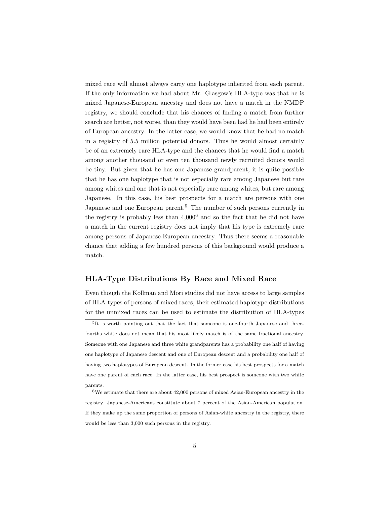mixed race will almost always carry one haplotype inherited from each parent. If the only information we had about Mr. Glasgow's HLA-type was that he is mixed Japanese-European ancestry and does not have a match in the NMDP registry, we should conclude that his chances of finding a match from further search are better, not worse, than they would have been had he had been entirely of European ancestry. In the latter case, we would know that he had no match in a registry of 5.5 million potential donors. Thus he would almost certainly be of an extremely rare HLA-type and the chances that he would find a match among another thousand or even ten thousand newly recruited donors would be tiny. But given that he has one Japanese grandparent, it is quite possible that he has one haplotype that is not especially rare among Japanese but rare among whites and one that is not especially rare among whites, but rare among Japanese. In this case, his best prospects for a match are persons with one Japanese and one European parent.<sup>5</sup> The number of such persons currently in the registry is probably less than  $4,000^6$  and so the fact that he did not have a match in the current registry does not imply that his type is extremely rare among persons of Japanese-European ancestry. Thus there seems a reasonable chance that adding a few hundred persons of this background would produce a match.

#### HLA-Type Distributions By Race and Mixed Race

Even though the Kollman and Mori studies did not have access to large samples of HLA-types of persons of mixed races, their estimated haplotype distributions for the unmixed races can be used to estimate the distribution of HLA-types

<sup>&</sup>lt;sup>5</sup>It is worth pointing out that the fact that someone is one-fourth Japanese and threefourths white does not mean that his most likely match is of the same fractional ancestry. Someone with one Japanese and three white grandparents has a probability one half of having one haplotype of Japanese descent and one of European descent and a probability one half of having two haplotypes of European descent. In the former case his best prospects for a match have one parent of each race. In the latter case, his best prospect is someone with two white parents.

<sup>6</sup>We estimate that there are about 42,000 persons of mixed Asian-European ancestry in the registry. Japanese-Americans constitute about 7 percent of the Asian-American population. If they make up the same proportion of persons of Asian-white ancestry in the registry, there would be less than 3,000 such persons in the registry.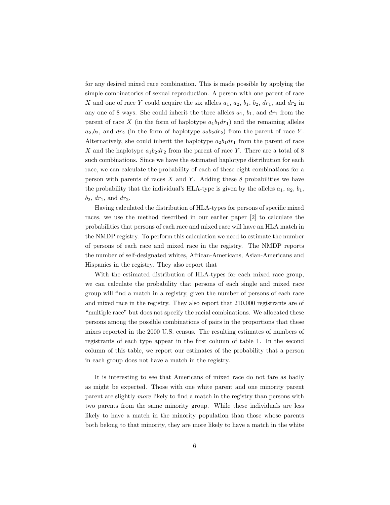for any desired mixed race combination. This is made possible by applying the simple combinatorics of sexual reproduction. A person with one parent of race X and one of race Y could acquire the six alleles  $a_1, a_2, b_1, b_2, dr_1$ , and  $dr_2$  in any one of 8 ways. She could inherit the three alleles  $a_1, b_1$ , and  $dr_1$  from the parent of race X (in the form of haplotype  $a_1b_1dr_1$ ) and the remaining alleles  $a_2,b_2$ , and  $dr_2$  (in the form of haplotype  $a_2b_2dr_2$ ) from the parent of race Y. Alternatively, she could inherit the haplotype  $a_2b_1dr_1$  from the parent of race X and the haplotype  $a_1b_2dr_2$  from the parent of race Y. There are a total of 8 such combinations. Since we have the estimated haplotype distribution for each race, we can calculate the probability of each of these eight combinations for a person with parents of races  $X$  and  $Y$ . Adding these 8 probabilities we have the probability that the individual's HLA-type is given by the alleles  $a_1, a_2, b_1$ ,  $b_2$ ,  $dr_1$ , and  $dr_2$ .

Having calculated the distribution of HLA-types for persons of specific mixed races, we use the method described in our earlier paper [2] to calculate the probabilities that persons of each race and mixed race will have an HLA match in the NMDP registry. To perform this calculation we need to estimate the number of persons of each race and mixed race in the registry. The NMDP reports the number of self-designated whites, African-Americans, Asian-Americans and Hispanics in the registry. They also report that

With the estimated distribution of HLA-types for each mixed race group, we can calculate the probability that persons of each single and mixed race group will find a match in a registry, given the number of persons of each race and mixed race in the registry. They also report that 210,000 registrants are of "multiple race" but does not specify the racial combinations. We allocated these persons among the possible combinations of pairs in the proportions that these mixes reported in the 2000 U.S. census. The resulting estimates of numbers of registrants of each type appear in the first column of table 1. In the second column of this table, we report our estimates of the probability that a person in each group does not have a match in the registry.

It is interesting to see that Americans of mixed race do not fare as badly as might be expected. Those with one white parent and one minority parent parent are slightly more likely to find a match in the registry than persons with two parents from the same minority group. While these individuals are less likely to have a match in the minority population than those whose parents both belong to that minority, they are more likely to have a match in the white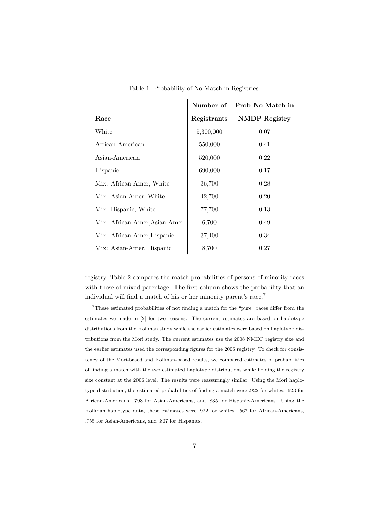|                               |             | Number of Prob No Match in |
|-------------------------------|-------------|----------------------------|
| Race                          | Registrants | NMDP Registry              |
| White                         | 5,300,000   | 0.07                       |
| African-American              | 550,000     | 0.41                       |
| Asian-American                | 520,000     | 0.22                       |
| Hispanic                      | 690,000     | 0.17                       |
| Mix: African-Amer, White      | 36,700      | 0.28                       |
| Mix: Asian-Amer, White        | 42,700      | 0.20                       |
| Mix: Hispanic, White          | 77,700      | 0.13                       |
| Mix: African-Amer, Asian-Amer | 6,700       | 0.49                       |
| Mix: African-Amer, Hispanic   | 37,400      | 0.34                       |
| Mix: Asian-Amer, Hispanic     | 8,700       | 0.27                       |

Table 1: Probability of No Match in Registries

 $\overline{1}$ 

registry. Table 2 compares the match probabilities of persons of minority races with those of mixed parentage. The first column shows the probability that an individual will find a match of his or her minority parent's race.<sup>7</sup>

<sup>7</sup>These estimated probabilities of not finding a match for the "pure" races differ from the estimates we made in [2] for two reasons. The current estimates are based on haplotype distributions from the Kollman study while the earlier estimates were based on haplotype distributions from the Mori study. The current estimates use the 2008 NMDP registry size and the earlier estimates used the corresponding figures for the 2006 registry. To check for consistency of the Mori-based and Kollman-based results, we compared estimates of probabilities of finding a match with the two estimated haplotype distributions while holding the registry size constant at the 2006 level. The results were reassuringly similar. Using the Mori haplotype distribution, the estimated probabilities of finding a match were .922 for whites, .623 for African-Americans, .793 for Asian-Americans, and .835 for Hispanic-Americans. Using the Kollman haplotype data, these estimates were .922 for whites, .567 for African-Americans, .755 for Asian-Americans, and .807 for Hispanics.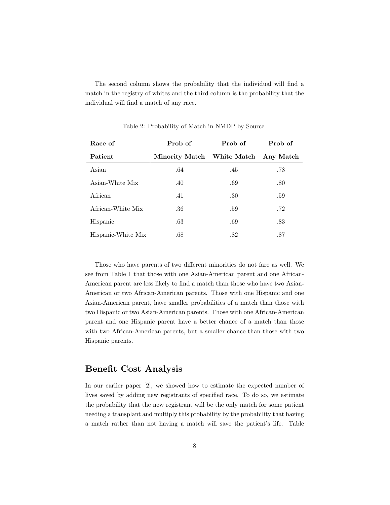The second column shows the probability that the individual will find a match in the registry of whites and the third column is the probability that the individual will find a match of any race.

| Race of            | Prob of                    | Prob of | Prob of   |
|--------------------|----------------------------|---------|-----------|
| Patient            | Minority Match White Match |         | Any Match |
| Asian              | .64                        | .45     | .78       |
| Asian-White Mix    | .40                        | .69     | .80       |
| African            | .41                        | .30     | .59       |
| African-White Mix  | .36                        | .59     | .72       |
| Hispanic           | .63                        | .69     | .83       |
| Hispanic-White Mix | .68                        | .82     | .87       |

Table 2: Probability of Match in NMDP by Source

Those who have parents of two different minorities do not fare as well. We see from Table 1 that those with one Asian-American parent and one African-American parent are less likely to find a match than those who have two Asian-American or two African-American parents. Those with one Hispanic and one Asian-American parent, have smaller probabilities of a match than those with two Hispanic or two Asian-American parents. Those with one African-American parent and one Hispanic parent have a better chance of a match than those with two African-American parents, but a smaller chance than those with two Hispanic parents.

## Benefit Cost Analysis

In our earlier paper [2], we showed how to estimate the expected number of lives saved by adding new registrants of specified race. To do so, we estimate the probability that the new registrant will be the only match for some patient needing a transplant and multiply this probability by the probability that having a match rather than not having a match will save the patient's life. Table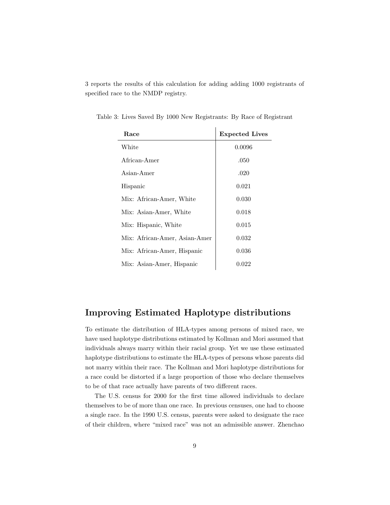3 reports the results of this calculation for adding adding 1000 registrants of specified race to the NMDP registry.

| Race                          | <b>Expected Lives</b> |
|-------------------------------|-----------------------|
| White                         | 0.0096                |
| African-Amer                  | .050                  |
| Asian-Amer                    | .020                  |
| Hispanic                      | 0.021                 |
| Mix: African-Amer, White      | 0.030                 |
| Mix: Asian-Amer, White        | 0.018                 |
| Mix: Hispanic, White          | 0.015                 |
| Mix: African-Amer, Asian-Amer | 0.032                 |
| Mix: African-Amer, Hispanic   | 0.036                 |
| Mix: Asian-Amer, Hispanic     | 0.022                 |

Table 3: Lives Saved By 1000 New Registrants: By Race of Registrant

 $\mathbf{I}$ 

## Improving Estimated Haplotype distributions

To estimate the distribution of HLA-types among persons of mixed race, we have used haplotype distributions estimated by Kollman and Mori assumed that individuals always marry within their racial group. Yet we use these estimated haplotype distributions to estimate the HLA-types of persons whose parents did not marry within their race. The Kollman and Mori haplotype distributions for a race could be distorted if a large proportion of those who declare themselves to be of that race actually have parents of two different races.

The U.S. census for 2000 for the first time allowed individuals to declare themselves to be of more than one race. In previous censuses, one had to choose a single race. In the 1990 U.S. census, parents were asked to designate the race of their children, where "mixed race" was not an admissible answer. Zhenchao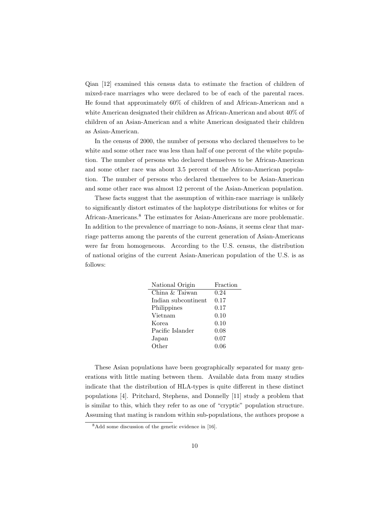Qian [12] examined this census data to estimate the fraction of children of mixed-race marriages who were declared to be of each of the parental races. He found that approximately 60% of children of and African-American and a white American designated their children as African-American and about 40% of children of an Asian-American and a white American designated their children as Asian-American.

In the census of 2000, the number of persons who declared themselves to be white and some other race was less than half of one percent of the white population. The number of persons who declared themselves to be African-American and some other race was about 3.5 percent of the African-American population. The number of persons who declared themselves to be Asian-American and some other race was almost 12 percent of the Asian-American population.

These facts suggest that the assumption of within-race marriage is unlikely to significantly distort estimates of the haplotype distributions for whites or for African-Americans.<sup>8</sup> The estimates for Asian-Americans are more problematic. In addition to the prevalence of marriage to non-Asians, it seems clear that marriage patterns among the parents of the current generation of Asian-Americans were far from homogeneous. According to the U.S. census, the distribution of national origins of the current Asian-American population of the U.S. is as follows:

| Fraction |
|----------|
| 0.24     |
| 0.17     |
| 0.17     |
| 0.10     |
| 0.10     |
| 0.08     |
| 0.07     |
| 0.06     |
|          |

These Asian populations have been geographically separated for many generations with little mating between them. Available data from many studies indicate that the distribution of HLA-types is quite different in these distinct populations [4]. Pritchard, Stephens, and Donnelly [11] study a problem that is similar to this, which they refer to as one of "cryptic" population structure. Assuming that mating is random within sub-populations, the authors propose a

<sup>8</sup>Add some discussion of the genetic evidence in [16].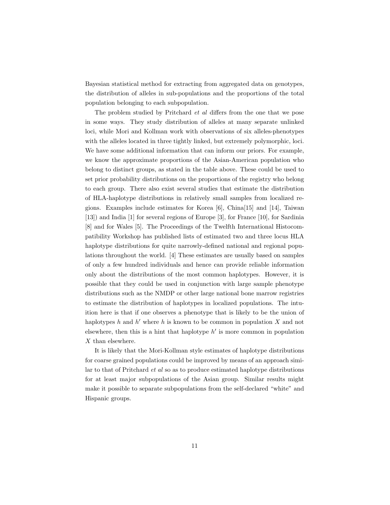Bayesian statistical method for extracting from aggregated data on genotypes, the distribution of alleles in sub-populations and the proportions of the total population belonging to each subpopulation.

The problem studied by Pritchard et al differs from the one that we pose in some ways. They study distribution of alleles at many separate unlinked loci, while Mori and Kollman work with observations of six alleles-phenotypes with the alleles located in three tightly linked, but extremely polymorphic, loci. We have some additional information that can inform our priors. For example, we know the approximate proportions of the Asian-American population who belong to distinct groups, as stated in the table above. These could be used to set prior probability distributions on the proportions of the registry who belong to each group. There also exist several studies that estimate the distribution of HLA-haplotype distributions in relatively small samples from localized regions. Examples include estimates for Korea [6], China[15] and [14], Taiwan [13]) and India [1] for several regions of Europe [3], for France [10], for Sardinia [8] and for Wales [5]. The Proceedings of the Twelfth International Histocompatibility Workshop has published lists of estimated two and three locus HLA haplotype distributions for quite narrowly-defined national and regional populations throughout the world. [4] These estimates are usually based on samples of only a few hundred individuals and hence can provide reliable information only about the distributions of the most common haplotypes. However, it is possible that they could be used in conjunction with large sample phenotype distributions such as the NMDP or other large national bone marrow registries to estimate the distribution of haplotypes in localized populations. The intuition here is that if one observes a phenotype that is likely to be the union of haplotypes h and h' where h is known to be common in population  $X$  and not elsewhere, then this is a hint that haplotype  $h'$  is more common in population X than elsewhere.

It is likely that the Mori-Kollman style estimates of haplotype distributions for coarse grained populations could be improved by means of an approach similar to that of Pritchard et al so as to produce estimated haplotype distributions for at least major subpopulations of the Asian group. Similar results might make it possible to separate subpopulations from the self-declared "white" and Hispanic groups.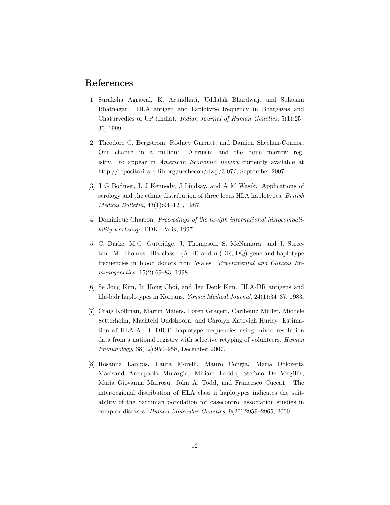### References

- [1] Suraksha Agrawal, K. Arundhati, Uddalak Bhardwaj, and Suhasini Bhatnagar. HLA antigen and haplotype frequency in Bhargavas and Chaturvedies of UP (India). Indian Journal of Human Genetics, 5(1):25– 30, 1999.
- [2] Theodore C. Bergstrom, Rodney Garratt, and Damien Sheehan-Connor. One chance in a million: Altruism and the bone marrow registry. to appear in American Economic Review currently available at http://repositories.cdlib.org/ucsbecon/dwp/3-07/, September 2007.
- [3] J G Bodmer, L J Kennedy, J Lindsay, and A M Wasik. Applications of serology and the ethnic distribution of three locus HLA haplotypes. British Medical Bulletin, 43(1):94–121, 1987.
- [4] Dominique Charron. Proceedings of the twelfth international histocompatibility workshop. EDK, Paris, 1997.
- [5] C. Darke, M.G. Guttridge, J. Thompson, S. McNamara, and J. Streetand M. Thomas. Hla class i (A, B) and ii (DR, DQ) gene and haplotype frequencies in blood donors from Wales. Experimental and Clinical Immunogenetics, 15(2):69–83, 1998.
- [6] Se Jong Kim, In Hong Choi, and Jeu Deuk Kim. HLA-DR antigens and hla-b:dr haplotypes in Koreans. Yonsei Medical Journal, 24(1):34–37, 1983.
- [7] Craig Kollman, Martin Maiers, Loren Gragert, Carlheinz Müller, Michele Setterholm, Machteld Oudshoorn, and Carolyn Katovich Hurley. Estimation of HLA-A -B -DRB1 haplotype frequencies using mixed resolution data from a national registry with selective retyping of volunteers. Human Immunology, 68(12):950–958, December 2007.
- [8] Rosanna Lampis, Laura Morelli, Mauro Congia, Maria Doloretta Macisand Annapaola Mulargia, Miriam Loddo, Stefano De Virgiliis, Maria Giovanna Marrosu, John A. Todd, and Francesco Cucca1. The inter-regional distribution of HLA class ii haplotypes indicates the suitability of the Sardinian population for casecontrol association studies in complex diseases. Human Molecular Genetics, 9(20):2959–2965, 2000.